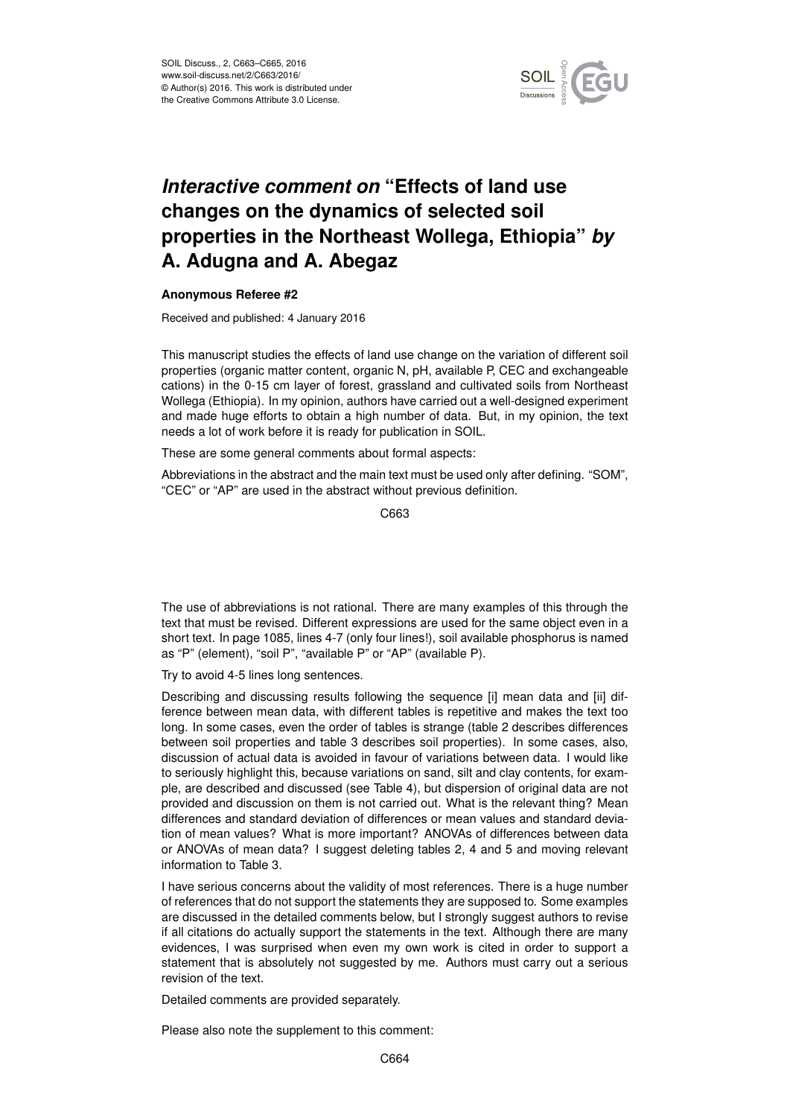

## *Interactive comment on* **"Effects of land use changes on the dynamics of selected soil properties in the Northeast Wollega, Ethiopia"** *by* **A. Adugna and A. Abegaz**

## **Anonymous Referee #2**

Received and published: 4 January 2016

This manuscript studies the effects of land use change on the variation of different soil properties (organic matter content, organic N, pH, available P, CEC and exchangeable cations) in the 0-15 cm layer of forest, grassland and cultivated soils from Northeast Wollega (Ethiopia). In my opinion, authors have carried out a well-designed experiment and made huge efforts to obtain a high number of data. But, in my opinion, the text needs a lot of work before it is ready for publication in SOIL.

These are some general comments about formal aspects:

Abbreviations in the abstract and the main text must be used only after defining. "SOM", "CEC" or "AP" are used in the abstract without previous definition.

C663

The use of abbreviations is not rational. There are many examples of this through the text that must be revised. Different expressions are used for the same object even in a short text. In page 1085, lines 4-7 (only four lines!), soil available phosphorus is named as "P" (element), "soil P", "available P" or "AP" (available P).

Try to avoid 4-5 lines long sentences.

Describing and discussing results following the sequence [i] mean data and [ii] difference between mean data, with different tables is repetitive and makes the text too long. In some cases, even the order of tables is strange (table 2 describes differences between soil properties and table 3 describes soil properties). In some cases, also, discussion of actual data is avoided in favour of variations between data. I would like to seriously highlight this, because variations on sand, silt and clay contents, for example, are described and discussed (see Table 4), but dispersion of original data are not provided and discussion on them is not carried out. What is the relevant thing? Mean differences and standard deviation of differences or mean values and standard deviation of mean values? What is more important? ANOVAs of differences between data or ANOVAs of mean data? I suggest deleting tables 2, 4 and 5 and moving relevant information to Table 3.

I have serious concerns about the validity of most references. There is a huge number of references that do not support the statements they are supposed to. Some examples are discussed in the detailed comments below, but I strongly suggest authors to revise if all citations do actually support the statements in the text. Although there are many evidences, I was surprised when even my own work is cited in order to support a statement that is absolutely not suggested by me. Authors must carry out a serious revision of the text.

Detailed comments are provided separately.

Please also note the supplement to this comment: